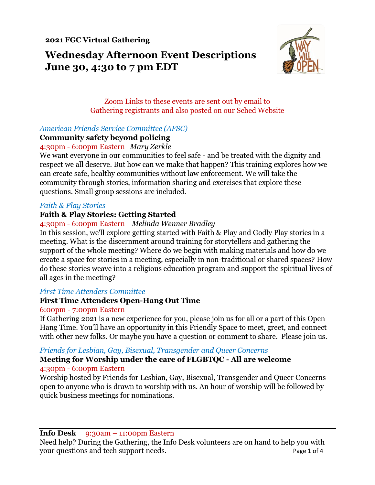**2021 FGC Virtual Gathering**

**Wednesday Afternoon Event Descriptions June 30, 4:30 to 7 pm EDT**



## Zoom Links to these events are sent out by email to Gathering registrants and also posted on our Sched Website

## *American Friends Service Committee (AFSC)*

#### **Community safety beyond policing**

#### 4:30pm - 6:00pm Eastern *Mary Zerkle*

We want everyone in our communities to feel safe - and be treated with the dignity and respect we all deserve. But how can we make that happen? This training explores how we can create safe, healthy communities without law enforcement. We will take the community through stories, information sharing and exercises that explore these questions. Small group sessions are included.

#### *Faith & Play Stories*

## **Faith & Play Stories: Getting Started**

#### 4:30pm - 6:00pm Eastern *Melinda Wenner Bradley*

In this session, we'll explore getting started with Faith & Play and Godly Play stories in a meeting. What is the discernment around training for storytellers and gathering the support of the whole meeting? Where do we begin with making materials and how do we create a space for stories in a meeting, especially in non-traditional or shared spaces? How do these stories weave into a religious education program and support the spiritual lives of all ages in the meeting?

## *First Time Attenders Committee*

## **First Time Attenders Open-Hang Out Time**

#### 6:00pm - 7:00pm Eastern

If Gathering 2021 is a new experience for you, please join us for all or a part of this Open Hang Time. You'll have an opportunity in this Friendly Space to meet, greet, and connect with other new folks. Or maybe you have a question or comment to share. Please join us.

## *Friends for Lesbian, Gay, Bisexual, Transgender and Queer Concerns*

#### **Meeting for Worship under the care of FLGBTQC - All are welcome** 4:30pm - 6:00pm Eastern

Worship hosted by Friends for Lesbian, Gay, Bisexual, Transgender and Queer Concerns open to anyone who is drawn to worship with us. An hour of worship will be followed by quick business meetings for nominations.

**Info Desk** 9:30am – 11:00pm Eastern

Need help? During the Gathering, the Info Desk volunteers are on hand to help you with your questions and tech support needs. Page 1 of 4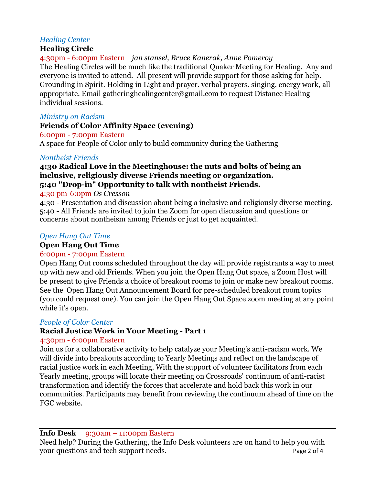# *Healing Center*

## **Healing Circle**

4:30pm - 6:00pm Eastern *jan stansel, Bruce Kanerak, Anne Pomeroy* The Healing Circles will be much like the traditional Quaker Meeting for Healing. Any and everyone is invited to attend. All present will provide support for those asking for help. Grounding in Spirit. Holding in Light and prayer. verbal prayers. singing. energy work, all appropriate. Email gatheringhealingcenter@gmail.com to request Distance Healing individual sessions.

#### *Ministry on Racism*

## **Friends of Color Affinity Space (evening)**

6:00pm - 7:00pm Eastern

A space for People of Color only to build community during the Gathering

## *Nontheist Friends*

## **4:30 Radical Love in the Meetinghouse: the nuts and bolts of being an inclusive, religiously diverse Friends meeting or organization. 5:40 "Drop-in" Opportunity to talk with nontheist Friends.**

4:30 pm-6:0pm *Os Cresson*

4:30 - Presentation and discussion about being a inclusive and religiously diverse meeting. 5:40 - All Friends are invited to join the Zoom for open discussion and questions or concerns about nontheism among Friends or just to get acquainted.

## *Open Hang Out Time*

## **Open Hang Out Time**

# 6:00pm - 7:00pm Eastern

Open Hang Out rooms scheduled throughout the day will provide registrants a way to meet up with new and old Friends. When you join the Open Hang Out space, a Zoom Host will be present to give Friends a choice of breakout rooms to join or make new breakout rooms. See the Open Hang Out Announcement Board for pre-scheduled breakout room topics (you could request one). You can join the Open Hang Out Space zoom meeting at any point while it's open.

## *People of Color Center*

# **Racial Justice Work in Your Meeting - Part 1**

## 4:30pm - 6:00pm Eastern

Join us for a collaborative activity to help catalyze your Meeting's anti-racism work. We will divide into breakouts according to Yearly Meetings and reflect on the landscape of racial justice work in each Meeting. With the support of volunteer facilitators from each Yearly meeting, groups will locate their meeting on Crossroads' continuum of anti-racist transformation and identify the forces that accelerate and hold back this work in our communities. Participants may benefit from reviewing the continuum ahead of time on the FGC website.

## **Info Desk** 9:30am – 11:00pm Eastern

Need help? During the Gathering, the Info Desk volunteers are on hand to help you with your questions and tech support needs. Page 2 of 4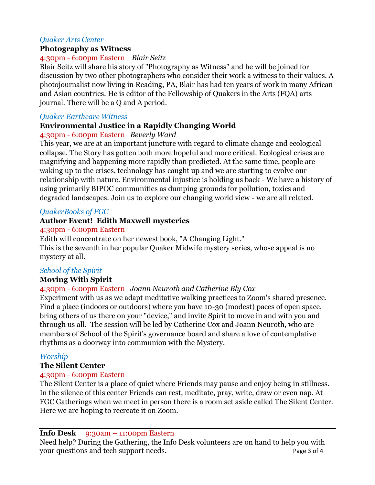## *Quaker Arts Center*

#### **Photography as Witness**

## 4:30pm - 6:00pm Eastern *Blair Seitz*

Blair Seitz will share his story of "Photography as Witness" and he will be joined for discussion by two other photographers who consider their work a witness to their values. A photojournalist now living in Reading, PA, Blair has had ten years of work in many African and Asian countries. He is editor of the Fellowship of Quakers in the Arts (FQA) arts journal. There will be a Q and A period.

#### *Quaker Earthcare Witness*

## **Environmental Justice in a Rapidly Changing World**

#### 4:30pm - 6:00pm Eastern *Beverly Ward*

This year, we are at an important juncture with regard to climate change and ecological collapse. The Story has gotten both more hopeful and more critical. Ecological crises are magnifying and happening more rapidly than predicted. At the same time, people are waking up to the crises, technology has caught up and we are starting to evolve our relationship with nature. Environmental injustice is holding us back - We have a history of using primarily BIPOC communities as dumping grounds for pollution, toxics and degraded landscapes. Join us to explore our changing world view - we are all related.

## *QuakerBooks of FGC*

## **Author Event! Edith Maxwell mysteries**

#### 4:30pm - 6:00pm Eastern

Edith will concentrate on her newest book, "A Changing Light." This is the seventh in her popular Quaker Midwife mystery series, whose appeal is no mystery at all.

## *School of the Spirit*

## **Moving With Spirit**

#### 4:30pm - 6:00pm Eastern *Joann Neuroth and Catherine Bly Cox*

Experiment with us as we adapt meditative walking practices to Zoom's shared presence. Find a place (indoors or outdoors) where you have 10-30 (modest) paces of open space, bring others of us there on your "device," and invite Spirit to move in and with you and through us all. The session will be led by Catherine Cox and Joann Neuroth, who are members of School of the Spirit's governance board and share a love of contemplative rhythms as a doorway into communion with the Mystery.

#### *Worship*

## **The Silent Center**

## 4:30pm - 6:00pm Eastern

The Silent Center is a place of quiet where Friends may pause and enjoy being in stillness. In the silence of this center Friends can rest, meditate, pray, write, draw or even nap. At FGC Gatherings when we meet in person there is a room set aside called The Silent Center. Here we are hoping to recreate it on Zoom.

#### **Info Desk** 9:30am – 11:00pm Eastern

Need help? During the Gathering, the Info Desk volunteers are on hand to help you with your questions and tech support needs. Page 3 of 4